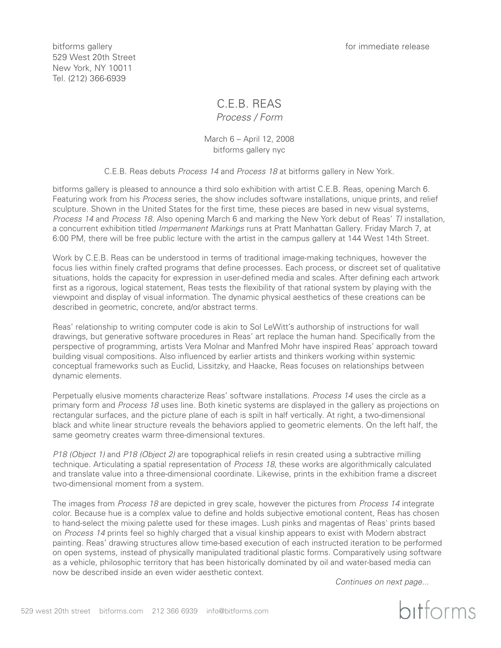bitforms gallery and the state of the state of the state of the state of the state release of the state of the state of the state of the state of the state of the state of the state of the state of the state of the state o

529 West 20th Street New York, NY 10011 Tel. (212) 366-6939

# C.E.B. REAS

*Process / Form*

March 6 – April 12, 2008 bitforms gallery nyc

C.E.B. Reas debuts *Process 14* and *Process 18* at bitforms gallery in New York.

bitforms gallery is pleased to announce a third solo exhibition with artist C.E.B. Reas, opening March 6. Featuring work from his *Process* series, the show includes software installations, unique prints, and relief sculpture. Shown in the United States for the first time, these pieces are based in new visual systems, *Process 14* and *Process 18*. Also opening March 6 and marking the New York debut of Reas' *TI* installation, a concurrent exhibition titled *Impermanent Markings* runs at Pratt Manhattan Gallery. Friday March 7, at 6:00 PM, there will be free public lecture with the artist in the campus gallery at 144 West 14th Street.

Work by C.E.B. Reas can be understood in terms of traditional image-making techniques, however the focus lies within finely crafted programs that define processes. Each process, or discreet set of qualitative situations, holds the capacity for expression in user-defined media and scales. After defining each artwork first as a rigorous, logical statement, Reas tests the flexibility of that rational system by playing with the viewpoint and display of visual information. The dynamic physical aesthetics of these creations can be described in geometric, concrete, and/or abstract terms.

Reas' relationship to writing computer code is akin to Sol LeWitt's authorship of instructions for wall drawings, but generative software procedures in Reas' art replace the human hand. Specifically from the perspective of programming, artists Vera Molnar and Manfred Mohr have inspired Reas' approach toward building visual compositions. Also influenced by earlier artists and thinkers working within systemic conceptual frameworks such as Euclid, Lissitzky, and Haacke, Reas focuses on relationships between dynamic elements.

Perpetually elusive moments characterize Reas' software installations. *Process 14* uses the circle as a primary form and *Process 18* uses line. Both kinetic systems are displayed in the gallery as projections on rectangular surfaces, and the picture plane of each is spilt in half vertically. At right, a two-dimensional black and white linear structure reveals the behaviors applied to geometric elements. On the left half, the same geometry creates warm three-dimensional textures.

*P18 (Object 1)* and *P18 (Object 2)* are topographical reliefs in resin created using a subtractive milling technique. Articulating a spatial representation of *Process 18*, these works are algorithmically calculated and translate value into a three-dimensional coordinate. Likewise, prints in the exhibition frame a discreet two-dimensional moment from a system.

The images from *Process 18* are depicted in grey scale, however the pictures from *Process 14* integrate color. Because hue is a complex value to define and holds subjective emotional content, Reas has chosen to hand-select the mixing palette used for these images. Lush pinks and magentas of Reas' prints based on *Process 14* prints feel so highly charged that a visual kinship appears to exist with Modern abstract painting. Reas' drawing structures allow time-based execution of each instructed iteration to be performed on open systems, instead of physically manipulated traditional plastic forms. Comparatively using software as a vehicle, philosophic territory that has been historically dominated by oil and water-based media can now be described inside an even wider aesthetic context.

*Continues on next page...*